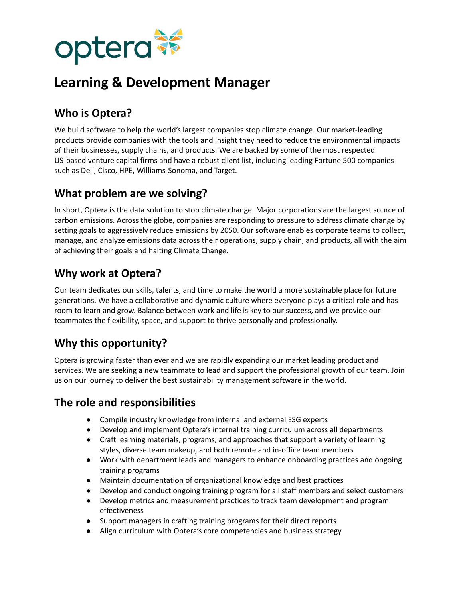

# **Learning & Development Manager**

## **Who is Optera?**

We build software to help the world's largest companies stop climate change. Our market-leading products provide companies with the tools and insight they need to reduce the environmental impacts of their businesses, supply chains, and products. We are backed by some of the most respected US-based venture capital firms and have a robust client list, including leading Fortune 500 companies such as Dell, Cisco, HPE, Williams-Sonoma, and Target.

#### **What problem are we solving?**

In short, Optera is the data solution to stop climate change. Major corporations are the largest source of carbon emissions. Across the globe, companies are responding to pressure to address climate change by setting goals to aggressively reduce emissions by 2050. Our software enables corporate teams to collect, manage, and analyze emissions data across their operations, supply chain, and products, all with the aim of achieving their goals and halting Climate Change.

## **Why work at Optera?**

Our team dedicates our skills, talents, and time to make the world a more sustainable place for future generations. We have a collaborative and dynamic culture where everyone plays a critical role and has room to learn and grow. Balance between work and life is key to our success, and we provide our teammates the flexibility, space, and support to thrive personally and professionally.

## **Why this opportunity?**

Optera is growing faster than ever and we are rapidly expanding our market leading product and services. We are seeking a new teammate to lead and support the professional growth of our team. Join us on our journey to deliver the best sustainability management software in the world.

### **The role and responsibilities**

- Compile industry knowledge from internal and external ESG experts
- Develop and implement Optera's internal training curriculum across all departments
- Craft learning materials, programs, and approaches that support a variety of learning styles, diverse team makeup, and both remote and in-office team members
- Work with department leads and managers to enhance onboarding practices and ongoing training programs
- Maintain documentation of organizational knowledge and best practices
- Develop and conduct ongoing training program for all staff members and select customers
- Develop metrics and measurement practices to track team development and program effectiveness
- Support managers in crafting training programs for their direct reports
- Align curriculum with Optera's core competencies and business strategy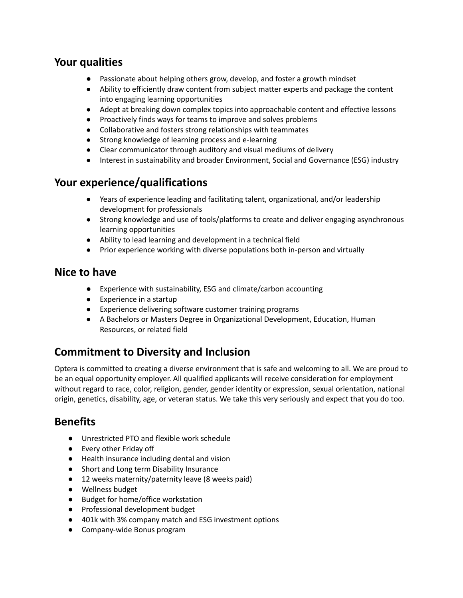#### **Your qualities**

- Passionate about helping others grow, develop, and foster a growth mindset
- Ability to efficiently draw content from subject matter experts and package the content into engaging learning opportunities
- Adept at breaking down complex topics into approachable content and effective lessons
- Proactively finds ways for teams to improve and solves problems
- Collaborative and fosters strong relationships with teammates
- Strong knowledge of learning process and e-learning
- Clear communicator through auditory and visual mediums of delivery
- Interest in sustainability and broader Environment, Social and Governance (ESG) industry

#### **Your experience/qualifications**

- Years of experience leading and facilitating talent, organizational, and/or leadership development for professionals
- Strong knowledge and use of tools/platforms to create and deliver engaging asynchronous learning opportunities
- Ability to lead learning and development in a technical field
- Prior experience working with diverse populations both in-person and virtually

#### **Nice to have**

- Experience with sustainability, ESG and climate/carbon accounting
- Experience in a startup
- Experience delivering software customer training programs
- A Bachelors or Masters Degree in Organizational Development, Education, Human Resources, or related field

## **Commitment to Diversity and Inclusion**

Optera is committed to creating a diverse environment that is safe and welcoming to all. We are proud to be an equal opportunity employer. All qualified applicants will receive consideration for employment without regard to race, color, religion, gender, gender identity or expression, sexual orientation, national origin, genetics, disability, age, or veteran status. We take this very seriously and expect that you do too.

### **Benefits**

- Unrestricted PTO and flexible work schedule
- Every other Friday off
- Health insurance including dental and vision
- Short and Long term Disability Insurance
- 12 weeks maternity/paternity leave (8 weeks paid)
- Wellness budget
- Budget for home/office workstation
- Professional development budget
- 401k with 3% company match and ESG investment options
- Company-wide Bonus program